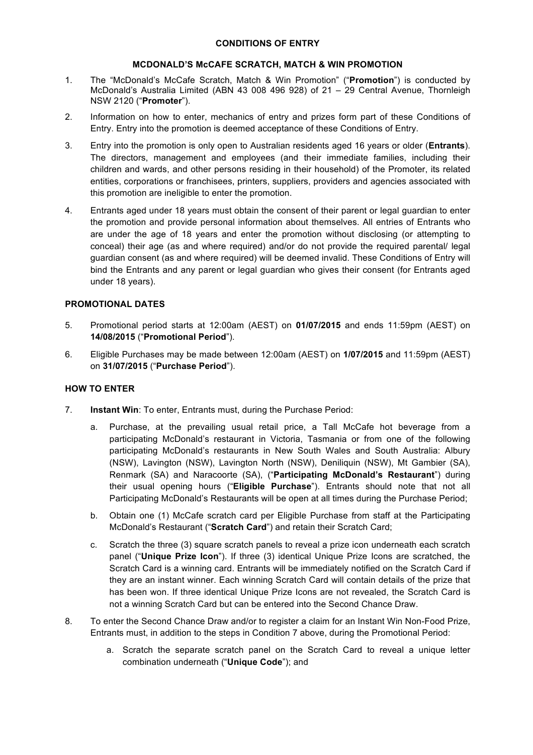## **MCDONALD'S McCAFE SCRATCH, MATCH & WIN PROMOTION**

- 1. The "McDonald's McCafe Scratch, Match & Win Promotion" ("**Promotion**") is conducted by McDonald's Australia Limited (ABN 43 008 496 928) of 21 – 29 Central Avenue, Thornleigh NSW 2120 ("**Promoter**").
- 2. Information on how to enter, mechanics of entry and prizes form part of these Conditions of Entry. Entry into the promotion is deemed acceptance of these Conditions of Entry.
- 3. Entry into the promotion is only open to Australian residents aged 16 years or older (**Entrants**). The directors, management and employees (and their immediate families, including their children and wards, and other persons residing in their household) of the Promoter, its related entities, corporations or franchisees, printers, suppliers, providers and agencies associated with this promotion are ineligible to enter the promotion.
- 4. Entrants aged under 18 years must obtain the consent of their parent or legal guardian to enter the promotion and provide personal information about themselves. All entries of Entrants who are under the age of 18 years and enter the promotion without disclosing (or attempting to conceal) their age (as and where required) and/or do not provide the required parental/ legal guardian consent (as and where required) will be deemed invalid. These Conditions of Entry will bind the Entrants and any parent or legal guardian who gives their consent (for Entrants aged under 18 years).

## **PROMOTIONAL DATES**

- 5. Promotional period starts at 12:00am (AEST) on **01/07/2015** and ends 11:59pm (AEST) on **14/08/2015** ("**Promotional Period**").
- 6. Eligible Purchases may be made between 12:00am (AEST) on **1/07/2015** and 11:59pm (AEST) on **31/07/2015** ("**Purchase Period**").

# **HOW TO ENTER**

- 7. **Instant Win**: To enter, Entrants must, during the Purchase Period:
	- a. Purchase, at the prevailing usual retail price, a Tall McCafe hot beverage from a participating McDonald's restaurant in Victoria, Tasmania or from one of the following participating McDonald's restaurants in New South Wales and South Australia: Albury (NSW), Lavington (NSW), Lavington North (NSW), Deniliquin (NSW), Mt Gambier (SA), Renmark (SA) and Naracoorte (SA), ("**Participating McDonald's Restaurant**") during their usual opening hours ("**Eligible Purchase**"). Entrants should note that not all Participating McDonald's Restaurants will be open at all times during the Purchase Period;
	- b. Obtain one (1) McCafe scratch card per Eligible Purchase from staff at the Participating McDonald's Restaurant ("**Scratch Card**") and retain their Scratch Card;
	- c. Scratch the three (3) square scratch panels to reveal a prize icon underneath each scratch panel ("**Unique Prize Icon**"). If three (3) identical Unique Prize Icons are scratched, the Scratch Card is a winning card. Entrants will be immediately notified on the Scratch Card if they are an instant winner. Each winning Scratch Card will contain details of the prize that has been won. If three identical Unique Prize Icons are not revealed, the Scratch Card is not a winning Scratch Card but can be entered into the Second Chance Draw.
- 8. To enter the Second Chance Draw and/or to register a claim for an Instant Win Non-Food Prize, Entrants must, in addition to the steps in Condition 7 above, during the Promotional Period:
	- a. Scratch the separate scratch panel on the Scratch Card to reveal a unique letter combination underneath ("**Unique Code**"); and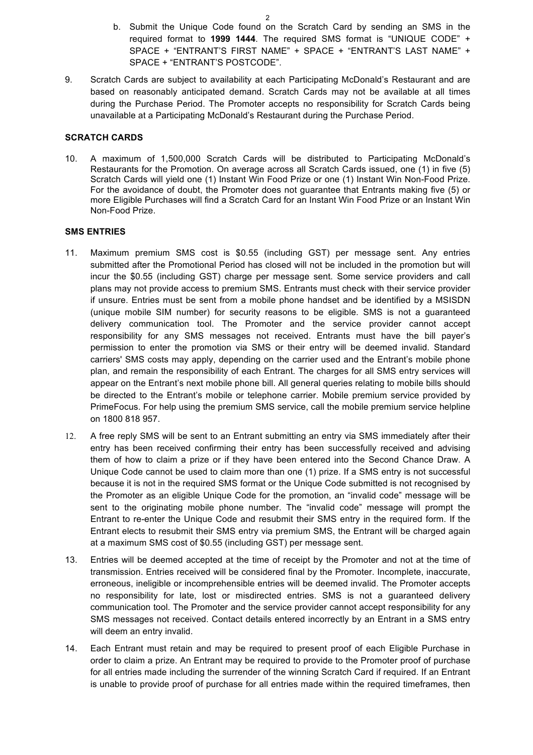- b. Submit the Unique Code found on the Scratch Card by sending an SMS in the required format to **1999 1444**. The required SMS format is "UNIQUE CODE" + SPACE + "ENTRANT'S FIRST NAME" + SPACE + "ENTRANT'S LAST NAME" + SPACE + "ENTRANT'S POSTCODE".
- 9. Scratch Cards are subject to availability at each Participating McDonald's Restaurant and are based on reasonably anticipated demand. Scratch Cards may not be available at all times during the Purchase Period. The Promoter accepts no responsibility for Scratch Cards being unavailable at a Participating McDonald's Restaurant during the Purchase Period.

#### **SCRATCH CARDS**

10. A maximum of 1,500,000 Scratch Cards will be distributed to Participating McDonald's Restaurants for the Promotion. On average across all Scratch Cards issued, one (1) in five (5) Scratch Cards will yield one (1) Instant Win Food Prize or one (1) Instant Win Non-Food Prize. For the avoidance of doubt, the Promoter does not guarantee that Entrants making five (5) or more Eligible Purchases will find a Scratch Card for an Instant Win Food Prize or an Instant Win Non-Food Prize.

## **SMS ENTRIES**

- 11. Maximum premium SMS cost is \$0.55 (including GST) per message sent. Any entries submitted after the Promotional Period has closed will not be included in the promotion but will incur the \$0.55 (including GST) charge per message sent. Some service providers and call plans may not provide access to premium SMS. Entrants must check with their service provider if unsure. Entries must be sent from a mobile phone handset and be identified by a MSISDN (unique mobile SIM number) for security reasons to be eligible. SMS is not a guaranteed delivery communication tool. The Promoter and the service provider cannot accept responsibility for any SMS messages not received. Entrants must have the bill payer's permission to enter the promotion via SMS or their entry will be deemed invalid. Standard carriers' SMS costs may apply, depending on the carrier used and the Entrant's mobile phone plan, and remain the responsibility of each Entrant. The charges for all SMS entry services will appear on the Entrant's next mobile phone bill. All general queries relating to mobile bills should be directed to the Entrant's mobile or telephone carrier. Mobile premium service provided by PrimeFocus. For help using the premium SMS service, call the mobile premium service helpline on 1800 818 957.
- 12. A free reply SMS will be sent to an Entrant submitting an entry via SMS immediately after their entry has been received confirming their entry has been successfully received and advising them of how to claim a prize or if they have been entered into the Second Chance Draw. A Unique Code cannot be used to claim more than one (1) prize. If a SMS entry is not successful because it is not in the required SMS format or the Unique Code submitted is not recognised by the Promoter as an eligible Unique Code for the promotion, an "invalid code" message will be sent to the originating mobile phone number. The "invalid code" message will prompt the Entrant to re-enter the Unique Code and resubmit their SMS entry in the required form. If the Entrant elects to resubmit their SMS entry via premium SMS, the Entrant will be charged again at a maximum SMS cost of \$0.55 (including GST) per message sent.
- 13. Entries will be deemed accepted at the time of receipt by the Promoter and not at the time of transmission. Entries received will be considered final by the Promoter. Incomplete, inaccurate, erroneous, ineligible or incomprehensible entries will be deemed invalid. The Promoter accepts no responsibility for late, lost or misdirected entries. SMS is not a guaranteed delivery communication tool. The Promoter and the service provider cannot accept responsibility for any SMS messages not received. Contact details entered incorrectly by an Entrant in a SMS entry will deem an entry invalid.
- 14. Each Entrant must retain and may be required to present proof of each Eligible Purchase in order to claim a prize. An Entrant may be required to provide to the Promoter proof of purchase for all entries made including the surrender of the winning Scratch Card if required. If an Entrant is unable to provide proof of purchase for all entries made within the required timeframes, then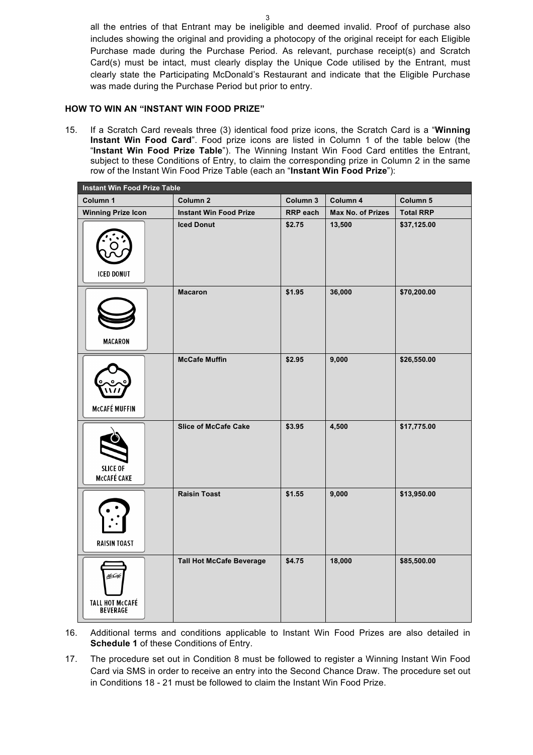all the entries of that Entrant may be ineligible and deemed invalid. Proof of purchase also includes showing the original and providing a photocopy of the original receipt for each Eligible Purchase made during the Purchase Period. As relevant, purchase receipt(s) and Scratch Card(s) must be intact, must clearly display the Unique Code utilised by the Entrant, must clearly state the Participating McDonald's Restaurant and indicate that the Eligible Purchase was made during the Purchase Period but prior to entry.

#### **HOW TO WIN AN "INSTANT WIN FOOD PRIZE"**

15. If a Scratch Card reveals three (3) identical food prize icons, the Scratch Card is a "**Winning Instant Win Food Card**". Food prize icons are listed in Column 1 of the table below (the "**Instant Win Food Prize Table**"). The Winning Instant Win Food Card entitles the Entrant, subject to these Conditions of Entry, to claim the corresponding prize in Column 2 in the same row of the Instant Win Food Prize Table (each an "**Instant Win Food Prize**"):

| <b>Instant Win Food Prize Table</b>                  |                                 |                 |                   |                  |
|------------------------------------------------------|---------------------------------|-----------------|-------------------|------------------|
| Column 1                                             | Column <sub>2</sub>             | Column 3        | Column 4          | Column 5         |
| <b>Winning Prize Icon</b>                            | <b>Instant Win Food Prize</b>   | <b>RRP</b> each | Max No. of Prizes | <b>Total RRP</b> |
| <b>ICED DONUT</b>                                    | <b>Iced Donut</b>               | \$2.75          | 13,500            | \$37,125.00      |
| <b>MACARON</b>                                       | <b>Macaron</b>                  | \$1.95          | 36,000            | \$70,200.00      |
| <b>McCAFÉ MUFFIN</b>                                 | <b>McCafe Muffin</b>            | \$2.95          | 9,000             | \$26,550.00      |
| <b>SLICE OF</b><br><b>McCAFÉ CAKE</b>                | <b>Slice of McCafe Cake</b>     | \$3.95          | 4,500             | \$17,775.00      |
| <b>RAISIN TOAST</b>                                  | <b>Raisin Toast</b>             | \$1.55          | 9,000             | \$13,950.00      |
| <u>McCafe</u><br><b>TALL HOT McCAFÉ<br/>BEVERAGE</b> | <b>Tall Hot McCafe Beverage</b> | \$4.75          | 18,000            | \$85,500.00      |

- 16. Additional terms and conditions applicable to Instant Win Food Prizes are also detailed in **Schedule 1** of these Conditions of Entry.
- 17. The procedure set out in Condition 8 must be followed to register a Winning Instant Win Food Card via SMS in order to receive an entry into the Second Chance Draw. The procedure set out in Conditions 18 - 21 must be followed to claim the Instant Win Food Prize.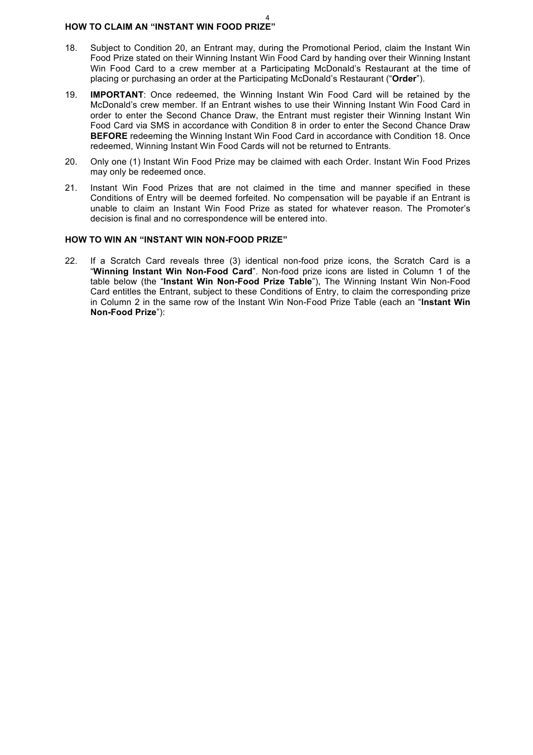#### 4 **HOW TO CLAIM AN "INSTANT WIN FOOD PRIZE"**

- 18. Subject to Condition 20, an Entrant may, during the Promotional Period, claim the Instant Win Food Prize stated on their Winning Instant Win Food Card by handing over their Winning Instant Win Food Card to a crew member at a Participating McDonald's Restaurant at the time of placing or purchasing an order at the Participating McDonald's Restaurant ("**Order**").
- 19. **IMPORTANT**: Once redeemed, the Winning Instant Win Food Card will be retained by the McDonald's crew member. If an Entrant wishes to use their Winning Instant Win Food Card in order to enter the Second Chance Draw, the Entrant must register their Winning Instant Win Food Card via SMS in accordance with Condition 8 in order to enter the Second Chance Draw **BEFORE** redeeming the Winning Instant Win Food Card in accordance with Condition 18. Once redeemed, Winning Instant Win Food Cards will not be returned to Entrants.
- 20. Only one (1) Instant Win Food Prize may be claimed with each Order. Instant Win Food Prizes may only be redeemed once.
- 21. Instant Win Food Prizes that are not claimed in the time and manner specified in these Conditions of Entry will be deemed forfeited. No compensation will be payable if an Entrant is unable to claim an Instant Win Food Prize as stated for whatever reason. The Promoter's decision is final and no correspondence will be entered into.

## **HOW TO WIN AN "INSTANT WIN NON-FOOD PRIZE"**

22. If a Scratch Card reveals three (3) identical non-food prize icons, the Scratch Card is a "**Winning Instant Win Non-Food Card**". Non-food prize icons are listed in Column 1 of the table below (the "**Instant Win Non-Food Prize Table**"), The Winning Instant Win Non-Food Card entitles the Entrant, subject to these Conditions of Entry, to claim the corresponding prize in Column 2 in the same row of the Instant Win Non-Food Prize Table (each an "**Instant Win Non-Food Prize**"):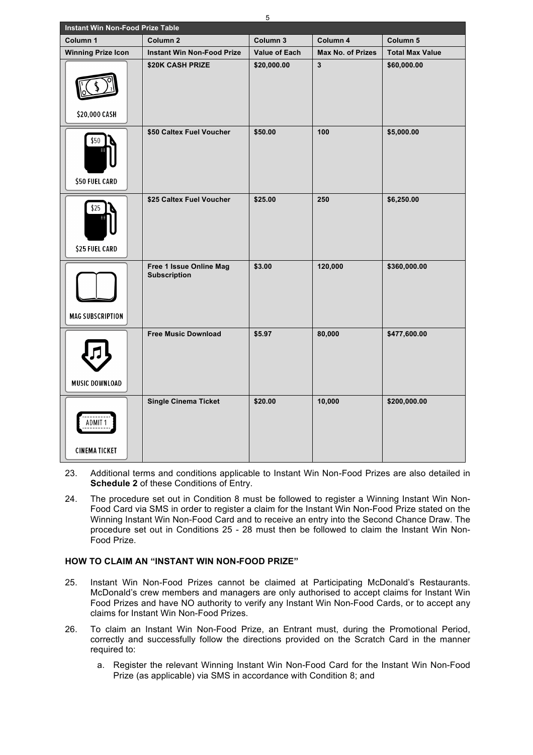| Instant Win Non-Food Prize Table      |                                                |                      |                          |                        |
|---------------------------------------|------------------------------------------------|----------------------|--------------------------|------------------------|
| Column 1                              | Column <sub>2</sub>                            | Column 3             | Column 4                 | Column 5               |
| <b>Winning Prize Icon</b>             | <b>Instant Win Non-Food Prize</b>              | <b>Value of Each</b> | <b>Max No. of Prizes</b> | <b>Total Max Value</b> |
| \$20,000 CASH                         | \$20K CASH PRIZE                               | \$20,000.00          | $\overline{\mathbf{3}}$  | \$60,000.00            |
| \$50<br>\$50 FUEL CARD                | \$50 Caltex Fuel Voucher                       | \$50.00              | 100                      | \$5,000.00             |
| \$25<br><b>\$25 FUEL CARD</b>         | \$25 Caltex Fuel Voucher                       | \$25.00              | 250                      | \$6,250.00             |
| <b>MAG SUBSCRIPTION</b>               | Free 1 Issue Online Mag<br><b>Subscription</b> | \$3.00               | 120,000                  | \$360,000.00           |
| <b>MUSIC DOWNLOAD</b>                 | <b>Free Music Download</b>                     | \$5.97               | 80,000                   | \$477,600.00           |
| <b>ADMIT1</b><br><b>CINEMA TICKET</b> | <b>Single Cinema Ticket</b>                    | \$20.00              | 10,000                   | \$200,000.00           |

- 23. Additional terms and conditions applicable to Instant Win Non-Food Prizes are also detailed in **Schedule 2** of these Conditions of Entry.
- 24. The procedure set out in Condition 8 must be followed to register a Winning Instant Win Non-Food Card via SMS in order to register a claim for the Instant Win Non-Food Prize stated on the Winning Instant Win Non-Food Card and to receive an entry into the Second Chance Draw. The procedure set out in Conditions 25 - 28 must then be followed to claim the Instant Win Non-Food Prize.

# **HOW TO CLAIM AN "INSTANT WIN NON-FOOD PRIZE"**

- 25. Instant Win Non-Food Prizes cannot be claimed at Participating McDonald's Restaurants. McDonald's crew members and managers are only authorised to accept claims for Instant Win Food Prizes and have NO authority to verify any Instant Win Non-Food Cards, or to accept any claims for Instant Win Non-Food Prizes.
- 26. To claim an Instant Win Non-Food Prize, an Entrant must, during the Promotional Period, correctly and successfully follow the directions provided on the Scratch Card in the manner required to:
	- a. Register the relevant Winning Instant Win Non-Food Card for the Instant Win Non-Food Prize (as applicable) via SMS in accordance with Condition 8; and

5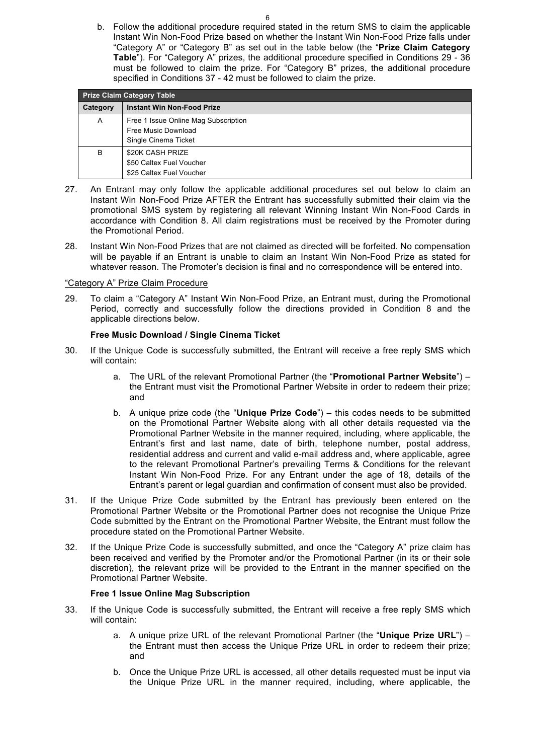b. Follow the additional procedure required stated in the return SMS to claim the applicable Instant Win Non-Food Prize based on whether the Instant Win Non-Food Prize falls under "Category A" or "Category B" as set out in the table below (the "**Prize Claim Category Table**"). For "Category A" prizes, the additional procedure specified in Conditions 29 - 36 must be followed to claim the prize. For "Category B" prizes, the additional procedure specified in Conditions 37 - 42 must be followed to claim the prize.

| <b>Prize Claim Category Table</b> |                                                                                     |  |  |
|-----------------------------------|-------------------------------------------------------------------------------------|--|--|
| Category                          | <b>Instant Win Non-Food Prize</b>                                                   |  |  |
| A                                 | Free 1 Issue Online Mag Subscription<br>Free Music Download<br>Single Cinema Ticket |  |  |
| B                                 | \$20K CASH PRIZE<br>\$50 Caltex Fuel Voucher<br>\$25 Caltex Fuel Voucher            |  |  |

- 27. An Entrant may only follow the applicable additional procedures set out below to claim an Instant Win Non-Food Prize AFTER the Entrant has successfully submitted their claim via the promotional SMS system by registering all relevant Winning Instant Win Non-Food Cards in accordance with Condition 8. All claim registrations must be received by the Promoter during the Promotional Period.
- 28. Instant Win Non-Food Prizes that are not claimed as directed will be forfeited. No compensation will be payable if an Entrant is unable to claim an Instant Win Non-Food Prize as stated for whatever reason. The Promoter's decision is final and no correspondence will be entered into.

#### "Category A" Prize Claim Procedure

29. To claim a "Category A" Instant Win Non-Food Prize, an Entrant must, during the Promotional Period, correctly and successfully follow the directions provided in Condition 8 and the applicable directions below.

#### **Free Music Download / Single Cinema Ticket**

- 30. If the Unique Code is successfully submitted, the Entrant will receive a free reply SMS which will contain:
	- a. The URL of the relevant Promotional Partner (the "**Promotional Partner Website**") the Entrant must visit the Promotional Partner Website in order to redeem their prize; and
	- b. A unique prize code (the "**Unique Prize Code**") this codes needs to be submitted on the Promotional Partner Website along with all other details requested via the Promotional Partner Website in the manner required, including, where applicable, the Entrant's first and last name, date of birth, telephone number, postal address, residential address and current and valid e-mail address and, where applicable, agree to the relevant Promotional Partner's prevailing Terms & Conditions for the relevant Instant Win Non-Food Prize. For any Entrant under the age of 18, details of the Entrant's parent or legal guardian and confirmation of consent must also be provided.
- 31. If the Unique Prize Code submitted by the Entrant has previously been entered on the Promotional Partner Website or the Promotional Partner does not recognise the Unique Prize Code submitted by the Entrant on the Promotional Partner Website, the Entrant must follow the procedure stated on the Promotional Partner Website.
- 32. If the Unique Prize Code is successfully submitted, and once the "Category A" prize claim has been received and verified by the Promoter and/or the Promotional Partner (in its or their sole discretion), the relevant prize will be provided to the Entrant in the manner specified on the Promotional Partner Website.

#### **Free 1 Issue Online Mag Subscription**

- 33. If the Unique Code is successfully submitted, the Entrant will receive a free reply SMS which will contain:
	- a. A unique prize URL of the relevant Promotional Partner (the "**Unique Prize URL**") the Entrant must then access the Unique Prize URL in order to redeem their prize; and
	- b. Once the Unique Prize URL is accessed, all other details requested must be input via the Unique Prize URL in the manner required, including, where applicable, the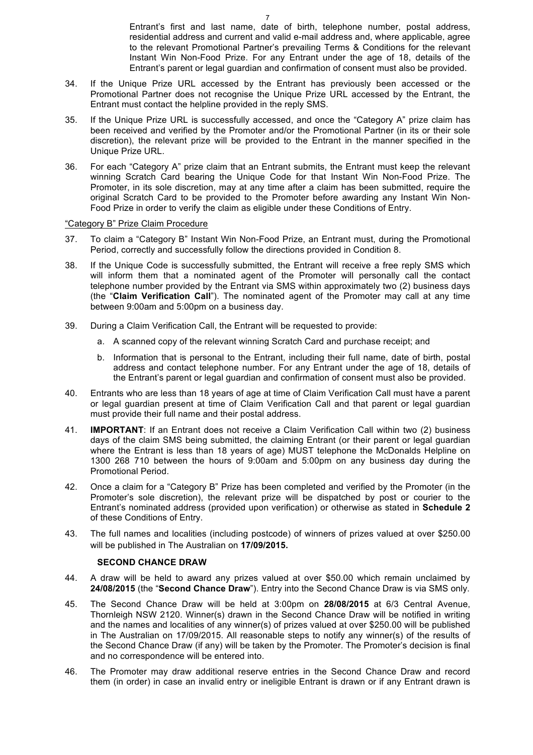Entrant's first and last name, date of birth, telephone number, postal address, residential address and current and valid e-mail address and, where applicable, agree to the relevant Promotional Partner's prevailing Terms & Conditions for the relevant Instant Win Non-Food Prize. For any Entrant under the age of 18, details of the Entrant's parent or legal guardian and confirmation of consent must also be provided.

- 34. If the Unique Prize URL accessed by the Entrant has previously been accessed or the Promotional Partner does not recognise the Unique Prize URL accessed by the Entrant, the Entrant must contact the helpline provided in the reply SMS.
- 35. If the Unique Prize URL is successfully accessed, and once the "Category A" prize claim has been received and verified by the Promoter and/or the Promotional Partner (in its or their sole discretion), the relevant prize will be provided to the Entrant in the manner specified in the Unique Prize URL.
- 36. For each "Category A" prize claim that an Entrant submits, the Entrant must keep the relevant winning Scratch Card bearing the Unique Code for that Instant Win Non-Food Prize. The Promoter, in its sole discretion, may at any time after a claim has been submitted, require the original Scratch Card to be provided to the Promoter before awarding any Instant Win Non-Food Prize in order to verify the claim as eligible under these Conditions of Entry.

#### "Category B" Prize Claim Procedure

- 37. To claim a "Category B" Instant Win Non-Food Prize, an Entrant must, during the Promotional Period, correctly and successfully follow the directions provided in Condition 8.
- 38. If the Unique Code is successfully submitted, the Entrant will receive a free reply SMS which will inform them that a nominated agent of the Promoter will personally call the contact telephone number provided by the Entrant via SMS within approximately two (2) business days (the "**Claim Verification Call**"). The nominated agent of the Promoter may call at any time between 9:00am and 5:00pm on a business day.
- 39. During a Claim Verification Call, the Entrant will be requested to provide:
	- a. A scanned copy of the relevant winning Scratch Card and purchase receipt; and
	- b. Information that is personal to the Entrant, including their full name, date of birth, postal address and contact telephone number. For any Entrant under the age of 18, details of the Entrant's parent or legal guardian and confirmation of consent must also be provided.
- 40. Entrants who are less than 18 years of age at time of Claim Verification Call must have a parent or legal guardian present at time of Claim Verification Call and that parent or legal guardian must provide their full name and their postal address.
- 41. **IMPORTANT**: If an Entrant does not receive a Claim Verification Call within two (2) business days of the claim SMS being submitted, the claiming Entrant (or their parent or legal guardian where the Entrant is less than 18 years of age) MUST telephone the McDonalds Helpline on 1300 268 710 between the hours of 9:00am and 5:00pm on any business day during the Promotional Period.
- 42. Once a claim for a "Category B" Prize has been completed and verified by the Promoter (in the Promoter's sole discretion), the relevant prize will be dispatched by post or courier to the Entrant's nominated address (provided upon verification) or otherwise as stated in **Schedule 2** of these Conditions of Entry.
- 43. The full names and localities (including postcode) of winners of prizes valued at over \$250.00 will be published in The Australian on **17/09/2015.**

#### **SECOND CHANCE DRAW**

- 44. A draw will be held to award any prizes valued at over \$50.00 which remain unclaimed by **24/08/2015** (the "**Second Chance Draw**"). Entry into the Second Chance Draw is via SMS only.
- 45. The Second Chance Draw will be held at 3:00pm on **28/08/2015** at 6/3 Central Avenue, Thornleigh NSW 2120. Winner(s) drawn in the Second Chance Draw will be notified in writing and the names and localities of any winner(s) of prizes valued at over \$250.00 will be published in The Australian on 17/09/2015. All reasonable steps to notify any winner(s) of the results of the Second Chance Draw (if any) will be taken by the Promoter. The Promoter's decision is final and no correspondence will be entered into.
- 46. The Promoter may draw additional reserve entries in the Second Chance Draw and record them (in order) in case an invalid entry or ineligible Entrant is drawn or if any Entrant drawn is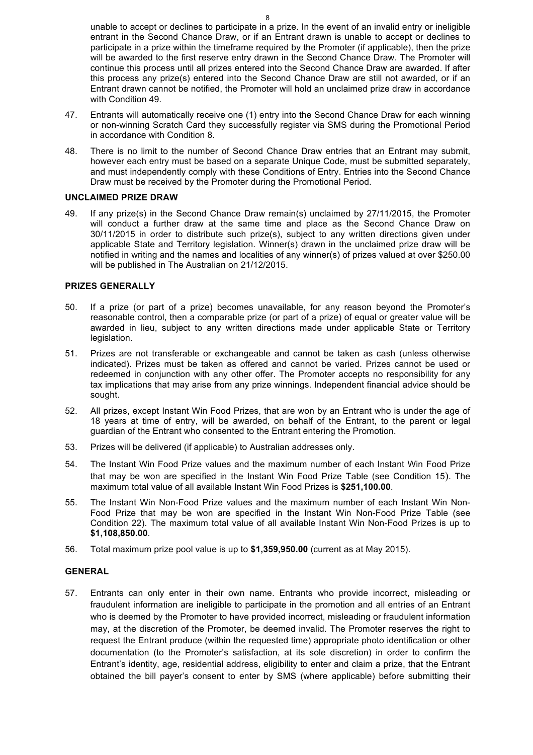unable to accept or declines to participate in a prize. In the event of an invalid entry or ineligible entrant in the Second Chance Draw, or if an Entrant drawn is unable to accept or declines to participate in a prize within the timeframe required by the Promoter (if applicable), then the prize will be awarded to the first reserve entry drawn in the Second Chance Draw. The Promoter will continue this process until all prizes entered into the Second Chance Draw are awarded. If after this process any prize(s) entered into the Second Chance Draw are still not awarded, or if an Entrant drawn cannot be notified, the Promoter will hold an unclaimed prize draw in accordance with Condition 49.

- 47. Entrants will automatically receive one (1) entry into the Second Chance Draw for each winning or non-winning Scratch Card they successfully register via SMS during the Promotional Period in accordance with Condition 8.
- 48. There is no limit to the number of Second Chance Draw entries that an Entrant may submit, however each entry must be based on a separate Unique Code, must be submitted separately, and must independently comply with these Conditions of Entry. Entries into the Second Chance Draw must be received by the Promoter during the Promotional Period.

## **UNCLAIMED PRIZE DRAW**

49. If any prize(s) in the Second Chance Draw remain(s) unclaimed by 27/11/2015, the Promoter will conduct a further draw at the same time and place as the Second Chance Draw on 30/11/2015 in order to distribute such prize(s), subject to any written directions given under applicable State and Territory legislation. Winner(s) drawn in the unclaimed prize draw will be notified in writing and the names and localities of any winner(s) of prizes valued at over \$250.00 will be published in The Australian on 21/12/2015.

## **PRIZES GENERALLY**

- 50. If a prize (or part of a prize) becomes unavailable, for any reason beyond the Promoter's reasonable control, then a comparable prize (or part of a prize) of equal or greater value will be awarded in lieu, subject to any written directions made under applicable State or Territory legislation.
- 51. Prizes are not transferable or exchangeable and cannot be taken as cash (unless otherwise indicated). Prizes must be taken as offered and cannot be varied. Prizes cannot be used or redeemed in conjunction with any other offer. The Promoter accepts no responsibility for any tax implications that may arise from any prize winnings. Independent financial advice should be sought.
- 52. All prizes, except Instant Win Food Prizes, that are won by an Entrant who is under the age of 18 years at time of entry, will be awarded, on behalf of the Entrant, to the parent or legal guardian of the Entrant who consented to the Entrant entering the Promotion.
- 53. Prizes will be delivered (if applicable) to Australian addresses only.
- 54. The Instant Win Food Prize values and the maximum number of each Instant Win Food Prize that may be won are specified in the Instant Win Food Prize Table (see Condition 15). The maximum total value of all available Instant Win Food Prizes is **\$251,100.00**.
- 55. The Instant Win Non-Food Prize values and the maximum number of each Instant Win Non-Food Prize that may be won are specified in the Instant Win Non-Food Prize Table (see Condition 22). The maximum total value of all available Instant Win Non-Food Prizes is up to **\$1,108,850.00**.
- 56. Total maximum prize pool value is up to **\$1,359,950.00** (current as at May 2015).

# **GENERAL**

57. Entrants can only enter in their own name. Entrants who provide incorrect, misleading or fraudulent information are ineligible to participate in the promotion and all entries of an Entrant who is deemed by the Promoter to have provided incorrect, misleading or fraudulent information may, at the discretion of the Promoter, be deemed invalid. The Promoter reserves the right to request the Entrant produce (within the requested time) appropriate photo identification or other documentation (to the Promoter's satisfaction, at its sole discretion) in order to confirm the Entrant's identity, age, residential address, eligibility to enter and claim a prize, that the Entrant obtained the bill payer's consent to enter by SMS (where applicable) before submitting their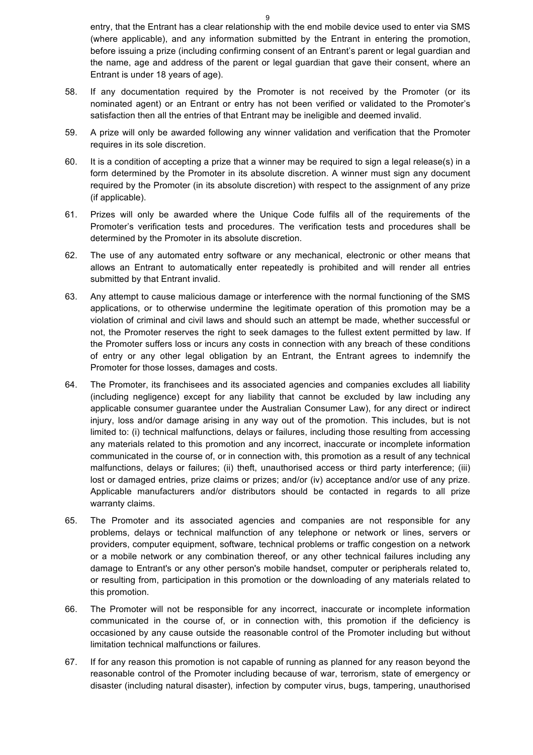entry, that the Entrant has a clear relationship with the end mobile device used to enter via SMS (where applicable), and any information submitted by the Entrant in entering the promotion, before issuing a prize (including confirming consent of an Entrant's parent or legal guardian and the name, age and address of the parent or legal guardian that gave their consent, where an Entrant is under 18 years of age).

- 58. If any documentation required by the Promoter is not received by the Promoter (or its nominated agent) or an Entrant or entry has not been verified or validated to the Promoter's satisfaction then all the entries of that Entrant may be ineligible and deemed invalid.
- 59. A prize will only be awarded following any winner validation and verification that the Promoter requires in its sole discretion.
- 60. It is a condition of accepting a prize that a winner may be required to sign a legal release(s) in a form determined by the Promoter in its absolute discretion. A winner must sign any document required by the Promoter (in its absolute discretion) with respect to the assignment of any prize (if applicable).
- 61. Prizes will only be awarded where the Unique Code fulfils all of the requirements of the Promoter's verification tests and procedures. The verification tests and procedures shall be determined by the Promoter in its absolute discretion.
- 62. The use of any automated entry software or any mechanical, electronic or other means that allows an Entrant to automatically enter repeatedly is prohibited and will render all entries submitted by that Entrant invalid.
- 63. Any attempt to cause malicious damage or interference with the normal functioning of the SMS applications, or to otherwise undermine the legitimate operation of this promotion may be a violation of criminal and civil laws and should such an attempt be made, whether successful or not, the Promoter reserves the right to seek damages to the fullest extent permitted by law. If the Promoter suffers loss or incurs any costs in connection with any breach of these conditions of entry or any other legal obligation by an Entrant, the Entrant agrees to indemnify the Promoter for those losses, damages and costs.
- 64. The Promoter, its franchisees and its associated agencies and companies excludes all liability (including negligence) except for any liability that cannot be excluded by law including any applicable consumer guarantee under the Australian Consumer Law), for any direct or indirect injury, loss and/or damage arising in any way out of the promotion. This includes, but is not limited to: (i) technical malfunctions, delays or failures, including those resulting from accessing any materials related to this promotion and any incorrect, inaccurate or incomplete information communicated in the course of, or in connection with, this promotion as a result of any technical malfunctions, delays or failures; (ii) theft, unauthorised access or third party interference; (iii) lost or damaged entries, prize claims or prizes; and/or (iv) acceptance and/or use of any prize. Applicable manufacturers and/or distributors should be contacted in regards to all prize warranty claims.
- 65. The Promoter and its associated agencies and companies are not responsible for any problems, delays or technical malfunction of any telephone or network or lines, servers or providers, computer equipment, software, technical problems or traffic congestion on a network or a mobile network or any combination thereof, or any other technical failures including any damage to Entrant's or any other person's mobile handset, computer or peripherals related to, or resulting from, participation in this promotion or the downloading of any materials related to this promotion.
- 66. The Promoter will not be responsible for any incorrect, inaccurate or incomplete information communicated in the course of, or in connection with, this promotion if the deficiency is occasioned by any cause outside the reasonable control of the Promoter including but without limitation technical malfunctions or failures.
- 67. If for any reason this promotion is not capable of running as planned for any reason beyond the reasonable control of the Promoter including because of war, terrorism, state of emergency or disaster (including natural disaster), infection by computer virus, bugs, tampering, unauthorised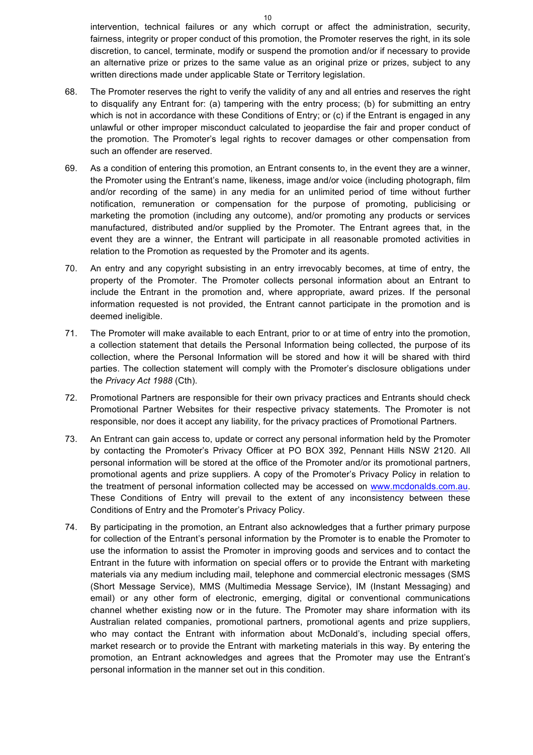intervention, technical failures or any which corrupt or affect the administration, security, fairness, integrity or proper conduct of this promotion, the Promoter reserves the right, in its sole discretion, to cancel, terminate, modify or suspend the promotion and/or if necessary to provide an alternative prize or prizes to the same value as an original prize or prizes, subject to any written directions made under applicable State or Territory legislation.

- 68. The Promoter reserves the right to verify the validity of any and all entries and reserves the right to disqualify any Entrant for: (a) tampering with the entry process; (b) for submitting an entry which is not in accordance with these Conditions of Entry; or (c) if the Entrant is engaged in any unlawful or other improper misconduct calculated to jeopardise the fair and proper conduct of the promotion. The Promoter's legal rights to recover damages or other compensation from such an offender are reserved.
- 69. As a condition of entering this promotion, an Entrant consents to, in the event they are a winner, the Promoter using the Entrant's name, likeness, image and/or voice (including photograph, film and/or recording of the same) in any media for an unlimited period of time without further notification, remuneration or compensation for the purpose of promoting, publicising or marketing the promotion (including any outcome), and/or promoting any products or services manufactured, distributed and/or supplied by the Promoter. The Entrant agrees that, in the event they are a winner, the Entrant will participate in all reasonable promoted activities in relation to the Promotion as requested by the Promoter and its agents.
- 70. An entry and any copyright subsisting in an entry irrevocably becomes, at time of entry, the property of the Promoter. The Promoter collects personal information about an Entrant to include the Entrant in the promotion and, where appropriate, award prizes. If the personal information requested is not provided, the Entrant cannot participate in the promotion and is deemed ineligible.
- 71. The Promoter will make available to each Entrant, prior to or at time of entry into the promotion, a collection statement that details the Personal Information being collected, the purpose of its collection, where the Personal Information will be stored and how it will be shared with third parties. The collection statement will comply with the Promoter's disclosure obligations under the *Privacy Act 1988* (Cth).
- 72. Promotional Partners are responsible for their own privacy practices and Entrants should check Promotional Partner Websites for their respective privacy statements. The Promoter is not responsible, nor does it accept any liability, for the privacy practices of Promotional Partners.
- 73. An Entrant can gain access to, update or correct any personal information held by the Promoter by contacting the Promoter's Privacy Officer at PO BOX 392, Pennant Hills NSW 2120. All personal information will be stored at the office of the Promoter and/or its promotional partners, promotional agents and prize suppliers. A copy of the Promoter's Privacy Policy in relation to the treatment of personal information collected may be accessed on www.mcdonalds.com.au. These Conditions of Entry will prevail to the extent of any inconsistency between these Conditions of Entry and the Promoter's Privacy Policy.
- 74. By participating in the promotion, an Entrant also acknowledges that a further primary purpose for collection of the Entrant's personal information by the Promoter is to enable the Promoter to use the information to assist the Promoter in improving goods and services and to contact the Entrant in the future with information on special offers or to provide the Entrant with marketing materials via any medium including mail, telephone and commercial electronic messages (SMS (Short Message Service), MMS (Multimedia Message Service), IM (Instant Messaging) and email) or any other form of electronic, emerging, digital or conventional communications channel whether existing now or in the future. The Promoter may share information with its Australian related companies, promotional partners, promotional agents and prize suppliers, who may contact the Entrant with information about McDonald's, including special offers, market research or to provide the Entrant with marketing materials in this way. By entering the promotion, an Entrant acknowledges and agrees that the Promoter may use the Entrant's personal information in the manner set out in this condition.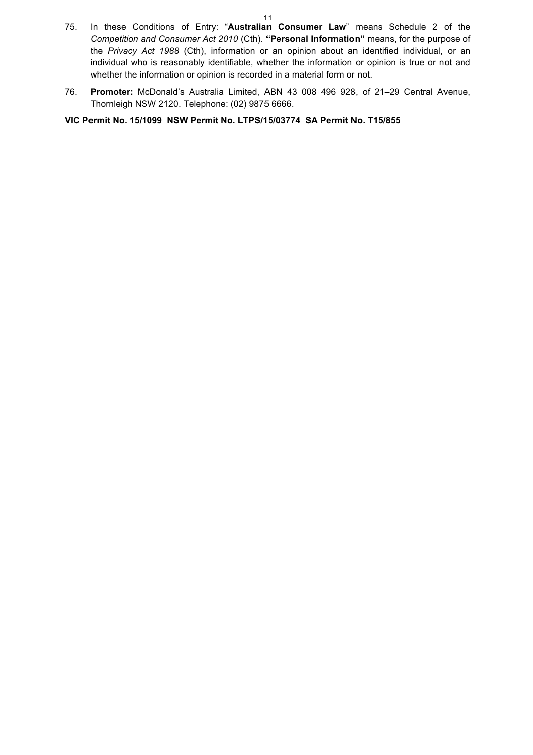- 75. In these Conditions of Entry: "**Australian Consumer Law**" means Schedule 2 of the *Competition and Consumer Act 2010* (Cth). **"Personal Information"** means, for the purpose of the *Privacy Act 1988* (Cth), information or an opinion about an identified individual, or an individual who is reasonably identifiable, whether the information or opinion is true or not and whether the information or opinion is recorded in a material form or not.
- 76. **Promoter:** McDonald's Australia Limited, ABN 43 008 496 928, of 21–29 Central Avenue, Thornleigh NSW 2120. Telephone: (02) 9875 6666.

**VIC Permit No. 15/1099 NSW Permit No. LTPS/15/03774 SA Permit No. T15/855**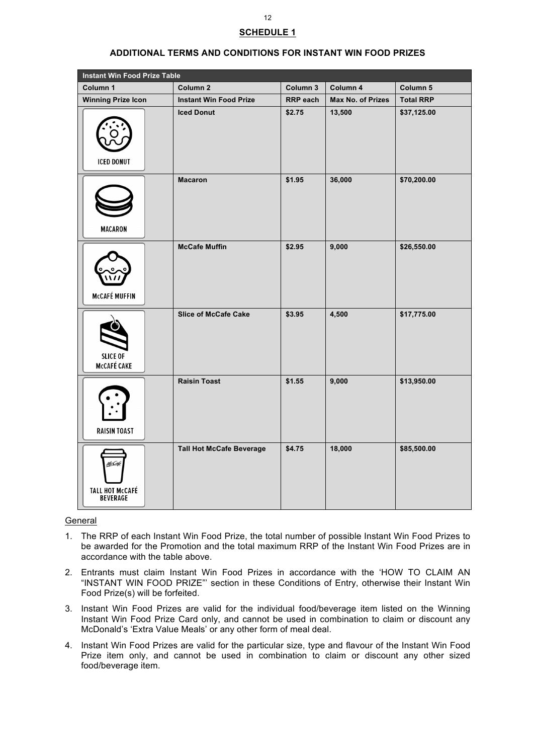# **SCHEDULE 1**

| <b>Instant Win Food Prize Table</b>                 |                                 |          |                   |                  |
|-----------------------------------------------------|---------------------------------|----------|-------------------|------------------|
| Column 1                                            | Column <sub>2</sub>             | Column 3 | Column 4          | Column 5         |
| <b>Winning Prize Icon</b>                           | <b>Instant Win Food Prize</b>   | RRP each | Max No. of Prizes | <b>Total RRP</b> |
| <b>ICED DONUT</b>                                   | <b>Iced Donut</b>               | \$2.75   | 13,500            | \$37,125.00      |
| <b>MACARON</b>                                      | <b>Macaron</b>                  | \$1.95   | 36,000            | \$70,200.00      |
| <b>McCAFÉ MUFFIN</b>                                | <b>McCafe Muffin</b>            | \$2.95   | 9,000             | \$26,550.00      |
| <b>SLICE OF</b><br><b>McCAFÉ CAKE</b>               | <b>Slice of McCafe Cake</b>     | \$3.95   | 4,500             | \$17,775.00      |
| <b>RAISIN TOAST</b>                                 | <b>Raisin Toast</b>             | \$1.55   | 9,000             | \$13,950.00      |
| <u>McCafe</u><br><b>TALL HOT McCAFÉ</b><br>BEVERAGE | <b>Tall Hot McCafe Beverage</b> | \$4.75   | 18,000            | \$85,500.00      |

## **ADDITIONAL TERMS AND CONDITIONS FOR INSTANT WIN FOOD PRIZES**

#### General

- 1. The RRP of each Instant Win Food Prize, the total number of possible Instant Win Food Prizes to be awarded for the Promotion and the total maximum RRP of the Instant Win Food Prizes are in accordance with the table above.
- 2. Entrants must claim Instant Win Food Prizes in accordance with the 'HOW TO CLAIM AN "INSTANT WIN FOOD PRIZE"' section in these Conditions of Entry, otherwise their Instant Win Food Prize(s) will be forfeited.
- 3. Instant Win Food Prizes are valid for the individual food/beverage item listed on the Winning Instant Win Food Prize Card only, and cannot be used in combination to claim or discount any McDonald's 'Extra Value Meals' or any other form of meal deal.
- 4. Instant Win Food Prizes are valid for the particular size, type and flavour of the Instant Win Food Prize item only, and cannot be used in combination to claim or discount any other sized food/beverage item.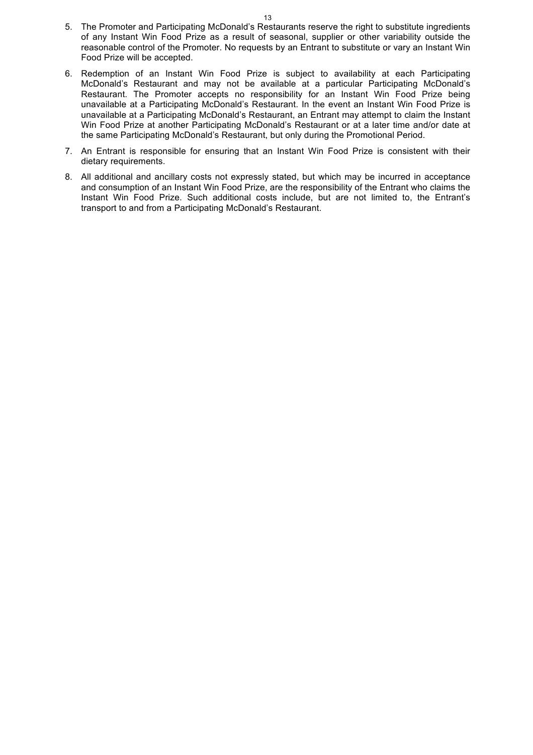- 5. The Promoter and Participating McDonald's Restaurants reserve the right to substitute ingredients of any Instant Win Food Prize as a result of seasonal, supplier or other variability outside the reasonable control of the Promoter. No requests by an Entrant to substitute or vary an Instant Win Food Prize will be accepted.
- 6. Redemption of an Instant Win Food Prize is subject to availability at each Participating McDonald's Restaurant and may not be available at a particular Participating McDonald's Restaurant. The Promoter accepts no responsibility for an Instant Win Food Prize being unavailable at a Participating McDonald's Restaurant. In the event an Instant Win Food Prize is unavailable at a Participating McDonald's Restaurant, an Entrant may attempt to claim the Instant Win Food Prize at another Participating McDonald's Restaurant or at a later time and/or date at the same Participating McDonald's Restaurant, but only during the Promotional Period.
- 7. An Entrant is responsible for ensuring that an Instant Win Food Prize is consistent with their dietary requirements.
- 8. All additional and ancillary costs not expressly stated, but which may be incurred in acceptance and consumption of an Instant Win Food Prize, are the responsibility of the Entrant who claims the Instant Win Food Prize. Such additional costs include, but are not limited to, the Entrant's transport to and from a Participating McDonald's Restaurant.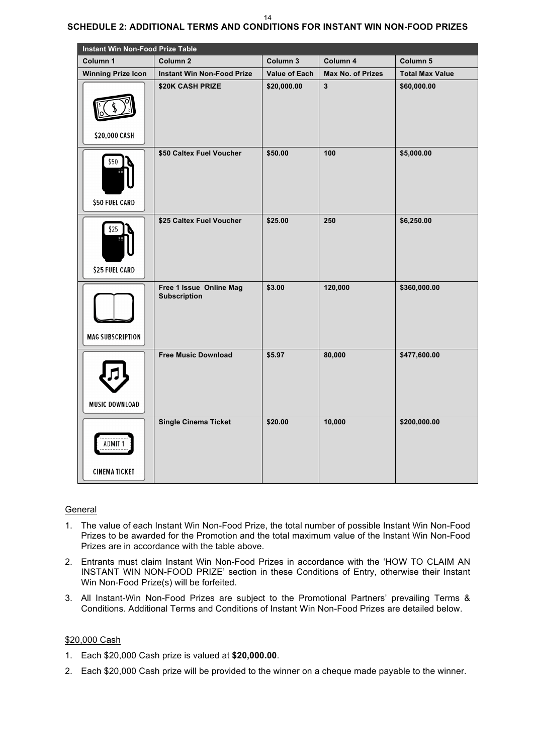#### 14

# **SCHEDULE 2: ADDITIONAL TERMS AND CONDITIONS FOR INSTANT WIN NON-FOOD PRIZES**

| <b>Instant Win Non-Food Prize Table</b> |                                                |                      |                          |                        |
|-----------------------------------------|------------------------------------------------|----------------------|--------------------------|------------------------|
| Column 1                                | Column <sub>2</sub>                            | Column 3             | Column 4                 | Column 5               |
| <b>Winning Prize Icon</b>               | <b>Instant Win Non-Food Prize</b>              | <b>Value of Each</b> | <b>Max No. of Prizes</b> | <b>Total Max Value</b> |
| \$20,000 CASH                           | \$20K CASH PRIZE                               | \$20,000.00          | $\overline{3}$           | \$60,000.00            |
| \$50<br>\$50 FUEL CARD                  | \$50 Caltex Fuel Voucher                       | \$50.00              | 100                      | \$5,000.00             |
| \$25<br>\$25 FUEL CARD                  | \$25 Caltex Fuel Voucher                       | \$25.00              | 250                      | \$6,250.00             |
| <b>MAG SUBSCRIPTION</b>                 | Free 1 Issue Online Mag<br><b>Subscription</b> | \$3.00               | 120,000                  | \$360,000.00           |
| <b>MUSIC DOWNLOAD</b>                   | <b>Free Music Download</b>                     | \$5.97               | 80,000                   | \$477,600.00           |
| ADMIT 1<br><b>CINEMATICKET</b>          | <b>Single Cinema Ticket</b>                    | \$20.00              | 10,000                   | \$200,000.00           |

# General

- 1. The value of each Instant Win Non-Food Prize, the total number of possible Instant Win Non-Food Prizes to be awarded for the Promotion and the total maximum value of the Instant Win Non-Food Prizes are in accordance with the table above.
- 2. Entrants must claim Instant Win Non-Food Prizes in accordance with the 'HOW TO CLAIM AN INSTANT WIN NON-FOOD PRIZE' section in these Conditions of Entry, otherwise their Instant Win Non-Food Prize(s) will be forfeited.
- 3. All Instant-Win Non-Food Prizes are subject to the Promotional Partners' prevailing Terms & Conditions. Additional Terms and Conditions of Instant Win Non-Food Prizes are detailed below.

#### \$20,000 Cash

- 1. Each \$20,000 Cash prize is valued at **\$20,000.00**.
- 2. Each \$20,000 Cash prize will be provided to the winner on a cheque made payable to the winner.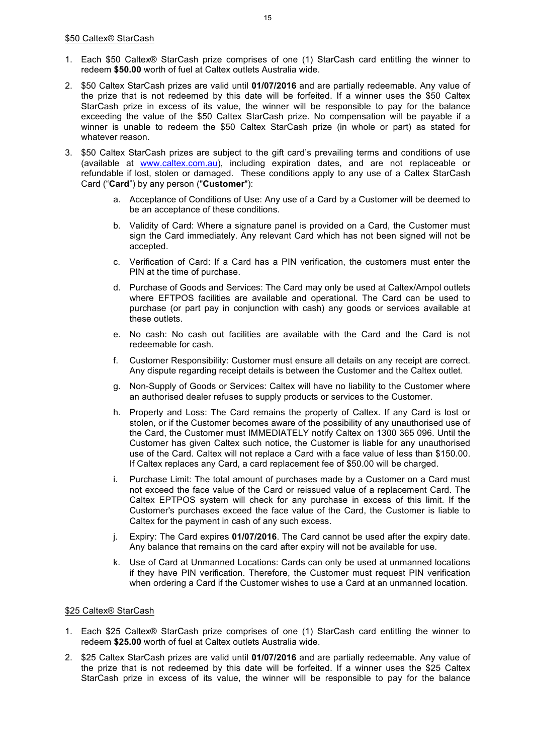- 1. Each \$50 Caltex® StarCash prize comprises of one (1) StarCash card entitling the winner to redeem **\$50.00** worth of fuel at Caltex outlets Australia wide.
- 2. \$50 Caltex StarCash prizes are valid until **01/07/2016** and are partially redeemable. Any value of the prize that is not redeemed by this date will be forfeited. If a winner uses the \$50 Caltex StarCash prize in excess of its value, the winner will be responsible to pay for the balance exceeding the value of the \$50 Caltex StarCash prize. No compensation will be payable if a winner is unable to redeem the \$50 Caltex StarCash prize (in whole or part) as stated for whatever reason.
- 3. \$50 Caltex StarCash prizes are subject to the gift card's prevailing terms and conditions of use (available at www.caltex.com.au), including expiration dates, and are not replaceable or refundable if lost, stolen or damaged. These conditions apply to any use of a Caltex StarCash Card ("**Card**") by any person ("**Customer**"):
	- a. Acceptance of Conditions of Use: Any use of a Card by a Customer will be deemed to be an acceptance of these conditions.
	- b. Validity of Card: Where a signature panel is provided on a Card, the Customer must sign the Card immediately. Any relevant Card which has not been signed will not be accepted.
	- c. Verification of Card: If a Card has a PIN verification, the customers must enter the PIN at the time of purchase.
	- d. Purchase of Goods and Services: The Card may only be used at Caltex/Ampol outlets where EFTPOS facilities are available and operational. The Card can be used to purchase (or part pay in conjunction with cash) any goods or services available at these outlets.
	- e. No cash: No cash out facilities are available with the Card and the Card is not redeemable for cash.
	- f. Customer Responsibility: Customer must ensure all details on any receipt are correct. Any dispute regarding receipt details is between the Customer and the Caltex outlet.
	- g. Non-Supply of Goods or Services: Caltex will have no liability to the Customer where an authorised dealer refuses to supply products or services to the Customer.
	- h. Property and Loss: The Card remains the property of Caltex. If any Card is lost or stolen, or if the Customer becomes aware of the possibility of any unauthorised use of the Card, the Customer must IMMEDIATELY notify Caltex on 1300 365 096. Until the Customer has given Caltex such notice, the Customer is liable for any unauthorised use of the Card. Caltex will not replace a Card with a face value of less than \$150.00. If Caltex replaces any Card, a card replacement fee of \$50.00 will be charged.
	- i. Purchase Limit: The total amount of purchases made by a Customer on a Card must not exceed the face value of the Card or reissued value of a replacement Card. The Caltex EPTPOS system will check for any purchase in excess of this limit. If the Customer's purchases exceed the face value of the Card, the Customer is liable to Caltex for the payment in cash of any such excess.
	- j. Expiry: The Card expires **01/07/2016**. The Card cannot be used after the expiry date. Any balance that remains on the card after expiry will not be available for use.
	- k. Use of Card at Unmanned Locations: Cards can only be used at unmanned locations if they have PIN verification. Therefore, the Customer must request PIN verification when ordering a Card if the Customer wishes to use a Card at an unmanned location.

# \$25 Caltex® StarCash

- 1. Each \$25 Caltex® StarCash prize comprises of one (1) StarCash card entitling the winner to redeem **\$25.00** worth of fuel at Caltex outlets Australia wide.
- 2. \$25 Caltex StarCash prizes are valid until **01/07/2016** and are partially redeemable. Any value of the prize that is not redeemed by this date will be forfeited. If a winner uses the \$25 Caltex StarCash prize in excess of its value, the winner will be responsible to pay for the balance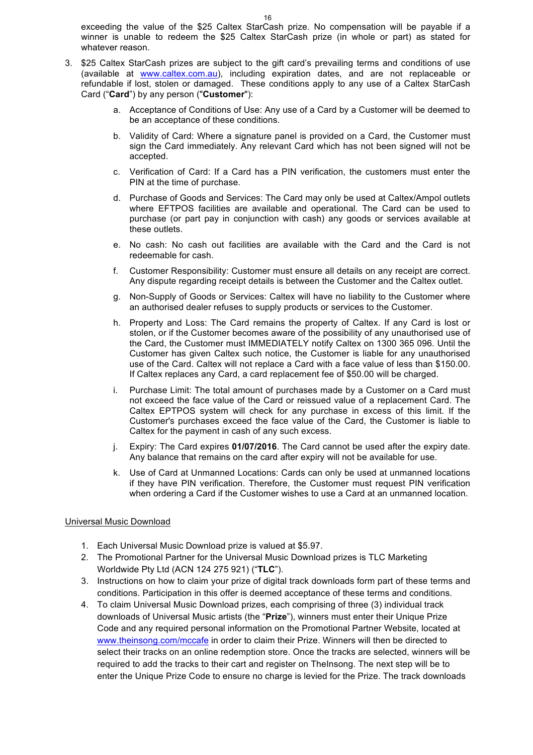exceeding the value of the \$25 Caltex StarCash prize. No compensation will be payable if a winner is unable to redeem the \$25 Caltex StarCash prize (in whole or part) as stated for whatever reason.

- 3. \$25 Caltex StarCash prizes are subject to the gift card's prevailing terms and conditions of use (available at www.caltex.com.au), including expiration dates, and are not replaceable or refundable if lost, stolen or damaged. These conditions apply to any use of a Caltex StarCash Card ("**Card**") by any person ("**Customer**"):
	- a. Acceptance of Conditions of Use: Any use of a Card by a Customer will be deemed to be an acceptance of these conditions.
	- b. Validity of Card: Where a signature panel is provided on a Card, the Customer must sign the Card immediately. Any relevant Card which has not been signed will not be accepted.
	- c. Verification of Card: If a Card has a PIN verification, the customers must enter the PIN at the time of purchase.
	- d. Purchase of Goods and Services: The Card may only be used at Caltex/Ampol outlets where EFTPOS facilities are available and operational. The Card can be used to purchase (or part pay in conjunction with cash) any goods or services available at these outlets.
	- e. No cash: No cash out facilities are available with the Card and the Card is not redeemable for cash.
	- f. Customer Responsibility: Customer must ensure all details on any receipt are correct. Any dispute regarding receipt details is between the Customer and the Caltex outlet.
	- g. Non-Supply of Goods or Services: Caltex will have no liability to the Customer where an authorised dealer refuses to supply products or services to the Customer.
	- h. Property and Loss: The Card remains the property of Caltex. If any Card is lost or stolen, or if the Customer becomes aware of the possibility of any unauthorised use of the Card, the Customer must IMMEDIATELY notify Caltex on 1300 365 096. Until the Customer has given Caltex such notice, the Customer is liable for any unauthorised use of the Card. Caltex will not replace a Card with a face value of less than \$150.00. If Caltex replaces any Card, a card replacement fee of \$50.00 will be charged.
	- i. Purchase Limit: The total amount of purchases made by a Customer on a Card must not exceed the face value of the Card or reissued value of a replacement Card. The Caltex EPTPOS system will check for any purchase in excess of this limit. If the Customer's purchases exceed the face value of the Card, the Customer is liable to Caltex for the payment in cash of any such excess.
	- j. Expiry: The Card expires **01/07/2016**. The Card cannot be used after the expiry date. Any balance that remains on the card after expiry will not be available for use.
	- k. Use of Card at Unmanned Locations: Cards can only be used at unmanned locations if they have PIN verification. Therefore, the Customer must request PIN verification when ordering a Card if the Customer wishes to use a Card at an unmanned location.

# Universal Music Download

- 1. Each Universal Music Download prize is valued at \$5.97.
- 2. The Promotional Partner for the Universal Music Download prizes is TLC Marketing Worldwide Pty Ltd (ACN 124 275 921) ("**TLC**").
- 3. Instructions on how to claim your prize of digital track downloads form part of these terms and conditions. Participation in this offer is deemed acceptance of these terms and conditions.
- 4. To claim Universal Music Download prizes, each comprising of three (3) individual track downloads of Universal Music artists (the "**Prize**"), winners must enter their Unique Prize Code and any required personal information on the Promotional Partner Website, located at www.theinsong.com/mccafe in order to claim their Prize. Winners will then be directed to select their tracks on an online redemption store. Once the tracks are selected, winners will be required to add the tracks to their cart and register on TheInsong. The next step will be to enter the Unique Prize Code to ensure no charge is levied for the Prize. The track downloads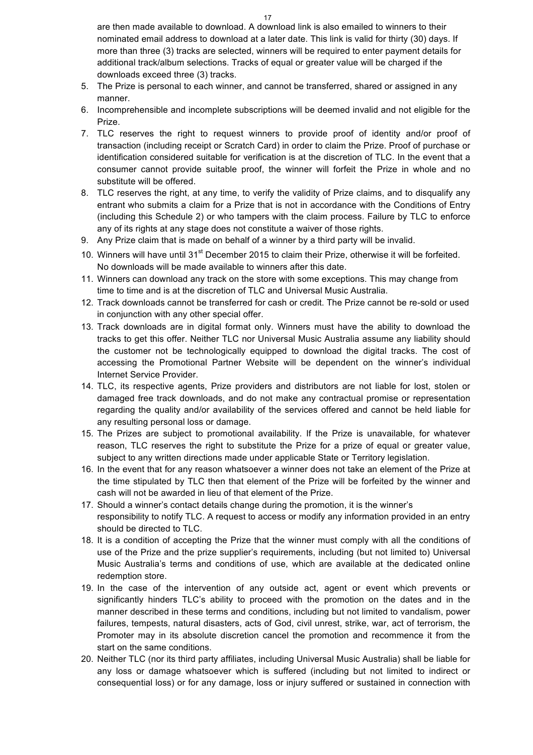are then made available to download. A download link is also emailed to winners to their nominated email address to download at a later date. This link is valid for thirty (30) days. If more than three (3) tracks are selected, winners will be required to enter payment details for additional track/album selections. Tracks of equal or greater value will be charged if the downloads exceed three (3) tracks.

- 5. The Prize is personal to each winner, and cannot be transferred, shared or assigned in any manner.
- 6. Incomprehensible and incomplete subscriptions will be deemed invalid and not eligible for the Prize.
- 7. TLC reserves the right to request winners to provide proof of identity and/or proof of transaction (including receipt or Scratch Card) in order to claim the Prize. Proof of purchase or identification considered suitable for verification is at the discretion of TLC. In the event that a consumer cannot provide suitable proof, the winner will forfeit the Prize in whole and no substitute will be offered.
- 8. TLC reserves the right, at any time, to verify the validity of Prize claims, and to disqualify any entrant who submits a claim for a Prize that is not in accordance with the Conditions of Entry (including this Schedule 2) or who tampers with the claim process. Failure by TLC to enforce any of its rights at any stage does not constitute a waiver of those rights.
- 9. Any Prize claim that is made on behalf of a winner by a third party will be invalid.
- 10. Winners will have until 31<sup>st</sup> December 2015 to claim their Prize, otherwise it will be forfeited. No downloads will be made available to winners after this date.
- 11. Winners can download any track on the store with some exceptions. This may change from time to time and is at the discretion of TLC and Universal Music Australia.
- 12. Track downloads cannot be transferred for cash or credit. The Prize cannot be re-sold or used in conjunction with any other special offer.
- 13. Track downloads are in digital format only. Winners must have the ability to download the tracks to get this offer. Neither TLC nor Universal Music Australia assume any liability should the customer not be technologically equipped to download the digital tracks. The cost of accessing the Promotional Partner Website will be dependent on the winner's individual Internet Service Provider.
- 14. TLC, its respective agents, Prize providers and distributors are not liable for lost, stolen or damaged free track downloads, and do not make any contractual promise or representation regarding the quality and/or availability of the services offered and cannot be held liable for any resulting personal loss or damage.
- 15. The Prizes are subject to promotional availability. If the Prize is unavailable, for whatever reason, TLC reserves the right to substitute the Prize for a prize of equal or greater value, subject to any written directions made under applicable State or Territory legislation.
- 16. In the event that for any reason whatsoever a winner does not take an element of the Prize at the time stipulated by TLC then that element of the Prize will be forfeited by the winner and cash will not be awarded in lieu of that element of the Prize.
- 17. Should a winner's contact details change during the promotion, it is the winner's responsibility to notify TLC. A request to access or modify any information provided in an entry should be directed to TLC.
- 18. It is a condition of accepting the Prize that the winner must comply with all the conditions of use of the Prize and the prize supplier's requirements, including (but not limited to) Universal Music Australia's terms and conditions of use, which are available at the dedicated online redemption store.
- 19. In the case of the intervention of any outside act, agent or event which prevents or significantly hinders TLC's ability to proceed with the promotion on the dates and in the manner described in these terms and conditions, including but not limited to vandalism, power failures, tempests, natural disasters, acts of God, civil unrest, strike, war, act of terrorism, the Promoter may in its absolute discretion cancel the promotion and recommence it from the start on the same conditions.
- 20. Neither TLC (nor its third party affiliates, including Universal Music Australia) shall be liable for any loss or damage whatsoever which is suffered (including but not limited to indirect or consequential loss) or for any damage, loss or injury suffered or sustained in connection with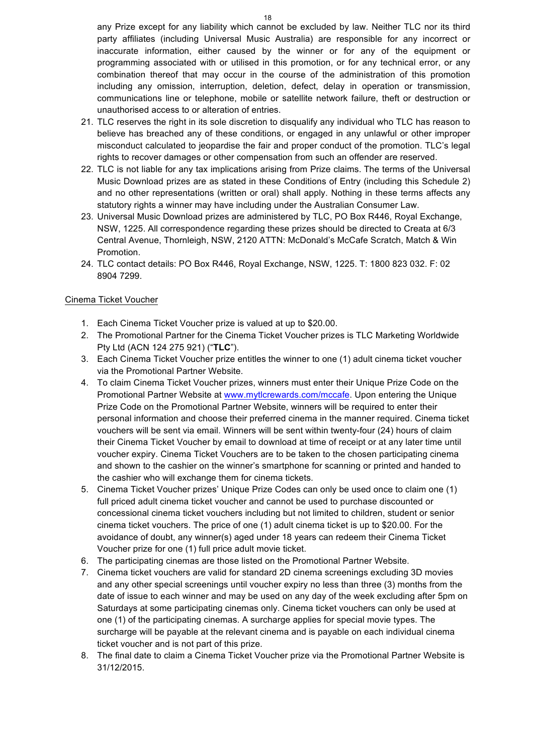any Prize except for any liability which cannot be excluded by law. Neither TLC nor its third party affiliates (including Universal Music Australia) are responsible for any incorrect or inaccurate information, either caused by the winner or for any of the equipment or programming associated with or utilised in this promotion, or for any technical error, or any combination thereof that may occur in the course of the administration of this promotion including any omission, interruption, deletion, defect, delay in operation or transmission, communications line or telephone, mobile or satellite network failure, theft or destruction or unauthorised access to or alteration of entries.

- 21. TLC reserves the right in its sole discretion to disqualify any individual who TLC has reason to believe has breached any of these conditions, or engaged in any unlawful or other improper misconduct calculated to jeopardise the fair and proper conduct of the promotion. TLC's legal rights to recover damages or other compensation from such an offender are reserved.
- 22. TLC is not liable for any tax implications arising from Prize claims. The terms of the Universal Music Download prizes are as stated in these Conditions of Entry (including this Schedule 2) and no other representations (written or oral) shall apply. Nothing in these terms affects any statutory rights a winner may have including under the Australian Consumer Law.
- 23. Universal Music Download prizes are administered by TLC, PO Box R446, Royal Exchange, NSW, 1225. All correspondence regarding these prizes should be directed to Creata at 6/3 Central Avenue, Thornleigh, NSW, 2120 ATTN: McDonald's McCafe Scratch, Match & Win Promotion.
- 24. TLC contact details: PO Box R446, Royal Exchange, NSW, 1225. T: 1800 823 032. F: 02 8904 7299.

## Cinema Ticket Voucher

- 1. Each Cinema Ticket Voucher prize is valued at up to \$20.00.
- 2. The Promotional Partner for the Cinema Ticket Voucher prizes is TLC Marketing Worldwide Pty Ltd (ACN 124 275 921) ("**TLC**").
- 3. Each Cinema Ticket Voucher prize entitles the winner to one (1) adult cinema ticket voucher via the Promotional Partner Website.
- 4. To claim Cinema Ticket Voucher prizes, winners must enter their Unique Prize Code on the Promotional Partner Website at www.mytlcrewards.com/mccafe. Upon entering the Unique Prize Code on the Promotional Partner Website, winners will be required to enter their personal information and choose their preferred cinema in the manner required. Cinema ticket vouchers will be sent via email. Winners will be sent within twenty-four (24) hours of claim their Cinema Ticket Voucher by email to download at time of receipt or at any later time until voucher expiry. Cinema Ticket Vouchers are to be taken to the chosen participating cinema and shown to the cashier on the winner's smartphone for scanning or printed and handed to the cashier who will exchange them for cinema tickets.
- 5. Cinema Ticket Voucher prizes' Unique Prize Codes can only be used once to claim one (1) full priced adult cinema ticket voucher and cannot be used to purchase discounted or concessional cinema ticket vouchers including but not limited to children, student or senior cinema ticket vouchers. The price of one (1) adult cinema ticket is up to \$20.00. For the avoidance of doubt, any winner(s) aged under 18 years can redeem their Cinema Ticket Voucher prize for one (1) full price adult movie ticket.
- 6. The participating cinemas are those listed on the Promotional Partner Website.
- 7. Cinema ticket vouchers are valid for standard 2D cinema screenings excluding 3D movies and any other special screenings until voucher expiry no less than three (3) months from the date of issue to each winner and may be used on any day of the week excluding after 5pm on Saturdays at some participating cinemas only. Cinema ticket vouchers can only be used at one (1) of the participating cinemas. A surcharge applies for special movie types. The surcharge will be payable at the relevant cinema and is payable on each individual cinema ticket voucher and is not part of this prize.
- 8. The final date to claim a Cinema Ticket Voucher prize via the Promotional Partner Website is 31/12/2015.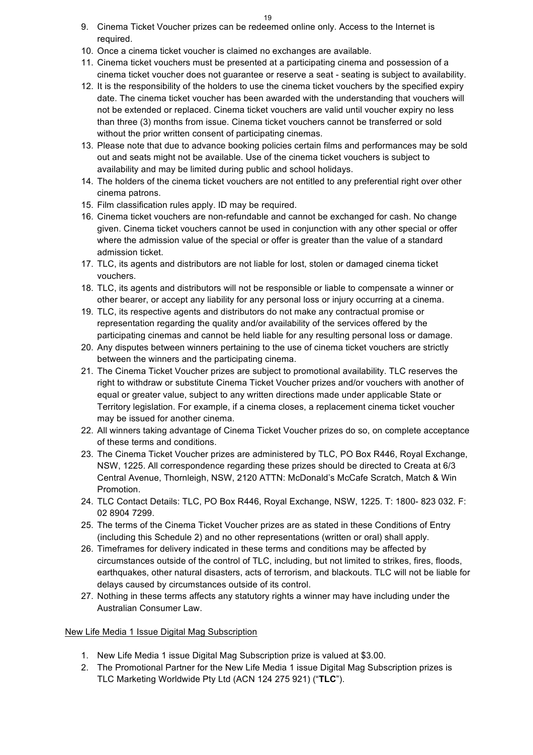- 9. Cinema Ticket Voucher prizes can be redeemed online only. Access to the Internet is required.
- 10. Once a cinema ticket voucher is claimed no exchanges are available.
- 11. Cinema ticket vouchers must be presented at a participating cinema and possession of a cinema ticket voucher does not guarantee or reserve a seat - seating is subject to availability.
- 12. It is the responsibility of the holders to use the cinema ticket vouchers by the specified expiry date. The cinema ticket voucher has been awarded with the understanding that vouchers will not be extended or replaced. Cinema ticket vouchers are valid until voucher expiry no less than three (3) months from issue. Cinema ticket vouchers cannot be transferred or sold without the prior written consent of participating cinemas.
- 13. Please note that due to advance booking policies certain films and performances may be sold out and seats might not be available. Use of the cinema ticket vouchers is subject to availability and may be limited during public and school holidays.
- 14. The holders of the cinema ticket vouchers are not entitled to any preferential right over other cinema patrons.
- 15. Film classification rules apply. ID may be required.
- 16. Cinema ticket vouchers are non-refundable and cannot be exchanged for cash. No change given. Cinema ticket vouchers cannot be used in conjunction with any other special or offer where the admission value of the special or offer is greater than the value of a standard admission ticket.
- 17. TLC, its agents and distributors are not liable for lost, stolen or damaged cinema ticket vouchers.
- 18. TLC, its agents and distributors will not be responsible or liable to compensate a winner or other bearer, or accept any liability for any personal loss or injury occurring at a cinema.
- 19. TLC, its respective agents and distributors do not make any contractual promise or representation regarding the quality and/or availability of the services offered by the participating cinemas and cannot be held liable for any resulting personal loss or damage.
- 20. Any disputes between winners pertaining to the use of cinema ticket vouchers are strictly between the winners and the participating cinema.
- 21. The Cinema Ticket Voucher prizes are subject to promotional availability. TLC reserves the right to withdraw or substitute Cinema Ticket Voucher prizes and/or vouchers with another of equal or greater value, subject to any written directions made under applicable State or Territory legislation. For example, if a cinema closes, a replacement cinema ticket voucher may be issued for another cinema.
- 22. All winners taking advantage of Cinema Ticket Voucher prizes do so, on complete acceptance of these terms and conditions.
- 23. The Cinema Ticket Voucher prizes are administered by TLC, PO Box R446, Royal Exchange, NSW, 1225. All correspondence regarding these prizes should be directed to Creata at 6/3 Central Avenue, Thornleigh, NSW, 2120 ATTN: McDonald's McCafe Scratch, Match & Win Promotion.
- 24. TLC Contact Details: TLC, PO Box R446, Royal Exchange, NSW, 1225. T: 1800- 823 032. F: 02 8904 7299.
- 25. The terms of the Cinema Ticket Voucher prizes are as stated in these Conditions of Entry (including this Schedule 2) and no other representations (written or oral) shall apply.
- 26. Timeframes for delivery indicated in these terms and conditions may be affected by circumstances outside of the control of TLC, including, but not limited to strikes, fires, floods, earthquakes, other natural disasters, acts of terrorism, and blackouts. TLC will not be liable for delays caused by circumstances outside of its control.
- 27. Nothing in these terms affects any statutory rights a winner may have including under the Australian Consumer Law.

# New Life Media 1 Issue Digital Mag Subscription

- 1. New Life Media 1 issue Digital Mag Subscription prize is valued at \$3.00.
- 2. The Promotional Partner for the New Life Media 1 issue Digital Mag Subscription prizes is TLC Marketing Worldwide Pty Ltd (ACN 124 275 921) ("**TLC**").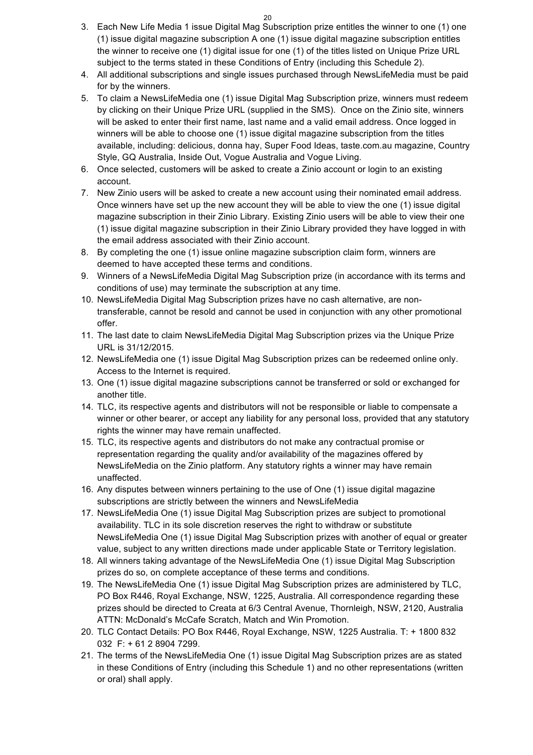- 3. Each New Life Media 1 issue Digital Mag Subscription prize entitles the winner to one (1) one (1) issue digital magazine subscription A one (1) issue digital magazine subscription entitles the winner to receive one (1) digital issue for one (1) of the titles listed on Unique Prize URL subject to the terms stated in these Conditions of Entry (including this Schedule 2).
- 4. All additional subscriptions and single issues purchased through NewsLifeMedia must be paid for by the winners.
- 5. To claim a NewsLifeMedia one (1) issue Digital Mag Subscription prize, winners must redeem by clicking on their Unique Prize URL (supplied in the SMS). Once on the Zinio site, winners will be asked to enter their first name, last name and a valid email address. Once logged in winners will be able to choose one (1) issue digital magazine subscription from the titles available, including: delicious, donna hay, Super Food Ideas, taste.com.au magazine, Country Style, GQ Australia, Inside Out, Vogue Australia and Vogue Living.
- 6. Once selected, customers will be asked to create a Zinio account or login to an existing account.
- 7. New Zinio users will be asked to create a new account using their nominated email address. Once winners have set up the new account they will be able to view the one (1) issue digital magazine subscription in their Zinio Library. Existing Zinio users will be able to view their one (1) issue digital magazine subscription in their Zinio Library provided they have logged in with the email address associated with their Zinio account.
- 8. By completing the one (1) issue online magazine subscription claim form, winners are deemed to have accepted these terms and conditions.
- 9. Winners of a NewsLifeMedia Digital Mag Subscription prize (in accordance with its terms and conditions of use) may terminate the subscription at any time.
- 10. NewsLifeMedia Digital Mag Subscription prizes have no cash alternative, are nontransferable, cannot be resold and cannot be used in conjunction with any other promotional offer.
- 11. The last date to claim NewsLifeMedia Digital Mag Subscription prizes via the Unique Prize URL is 31/12/2015.
- 12. NewsLifeMedia one (1) issue Digital Mag Subscription prizes can be redeemed online only. Access to the Internet is required.
- 13. One (1) issue digital magazine subscriptions cannot be transferred or sold or exchanged for another title.
- 14. TLC, its respective agents and distributors will not be responsible or liable to compensate a winner or other bearer, or accept any liability for any personal loss, provided that any statutory rights the winner may have remain unaffected.
- 15. TLC, its respective agents and distributors do not make any contractual promise or representation regarding the quality and/or availability of the magazines offered by NewsLifeMedia on the Zinio platform. Any statutory rights a winner may have remain unaffected.
- 16. Any disputes between winners pertaining to the use of One (1) issue digital magazine subscriptions are strictly between the winners and NewsLifeMedia
- 17. NewsLifeMedia One (1) issue Digital Mag Subscription prizes are subject to promotional availability. TLC in its sole discretion reserves the right to withdraw or substitute NewsLifeMedia One (1) issue Digital Mag Subscription prizes with another of equal or greater value, subject to any written directions made under applicable State or Territory legislation.
- 18. All winners taking advantage of the NewsLifeMedia One (1) issue Digital Mag Subscription prizes do so, on complete acceptance of these terms and conditions.
- 19. The NewsLifeMedia One (1) issue Digital Mag Subscription prizes are administered by TLC, PO Box R446, Royal Exchange, NSW, 1225, Australia. All correspondence regarding these prizes should be directed to Creata at 6/3 Central Avenue, Thornleigh, NSW, 2120, Australia ATTN: McDonald's McCafe Scratch, Match and Win Promotion.
- 20. TLC Contact Details: PO Box R446, Royal Exchange, NSW, 1225 Australia. T: + 1800 832 032 F: + 61 2 8904 7299.
- 21. The terms of the NewsLifeMedia One (1) issue Digital Mag Subscription prizes are as stated in these Conditions of Entry (including this Schedule 1) and no other representations (written or oral) shall apply.